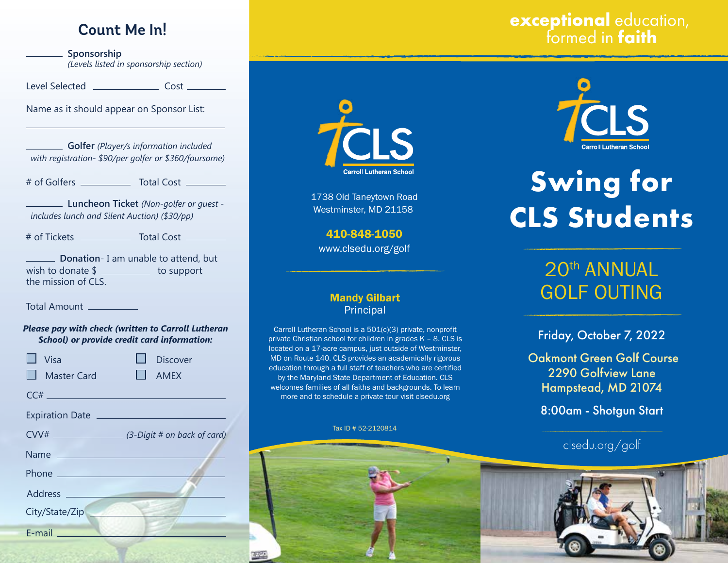# **Count Me In!**

**Sponsorship** *(Levels listed in sponsorship section)*

Level Selected Cost

Name as it should appear on Sponsor List:

**Golfer** *(Player/s information included with registration- \$90/per golfer or \$360/foursome)* 

# of Golfers \_\_\_\_\_\_\_\_\_\_\_\_\_\_ Total Cost \_\_\_\_\_\_\_\_

**Luncheon Ticket** *(Non-golfer or guest includes lunch and Silent Auction) (\$30/pp)*

# of Tickets \_\_\_\_\_\_\_\_\_\_\_\_\_ Total Cost \_\_\_\_\_\_\_\_

**Donation**- I am unable to attend, but wish to donate  $\frac{1}{2}$  to support the mission of CLS.

Total Amount

#### *Please pay with check (written to Carroll Lutheran School) or provide credit card information:*

| <b>Visa</b><br>$\Box$ Master Card                                                                                                                                                          | <b>Discover</b><br>I AMEX |
|--------------------------------------------------------------------------------------------------------------------------------------------------------------------------------------------|---------------------------|
|                                                                                                                                                                                            |                           |
| $CC#$ and $C#$ and $C#$ and $C#$                                                                                                                                                           |                           |
|                                                                                                                                                                                            |                           |
|                                                                                                                                                                                            |                           |
| Name                                                                                                                                                                                       |                           |
|                                                                                                                                                                                            |                           |
| Address <b>Address Address Address Address Address Address Address Address Address Address Address Address Address Address Address Address Address Address Address Address Address Add</b> |                           |
| City/State/Zip                                                                                                                                                                             |                           |
| $E$ -mail $\frac{1}{2}$                                                                                                                                                                    |                           |



1738 Old Taneytown Road Westminster, MD 21158

410-848-1050 www.clsedu.org/golf

### Mandy Gilbart **Principal**

Carroll Lutheran School is a 501(c)(3) private, nonprofit private Christian school for children in grades K – 8. CLS is located on a 17-acre campus, just outside of Westminster, MD on Route 140. CLS provides an academically rigorous education through a full staff of teachers who are certified by the Maryland State Department of Education. CLS welcomes families of all faiths and backgrounds. To learn more and to schedule a private tour visit clsedu.org

#### Tax ID # 52-2120814



# **exceptional** education, formed in **faith**



# **Swing for CLS Students**

# 20th ANNUAL GOLF OUTING

Friday, October 7, 2022

 Oakmont Green Golf Course 2290 Golfview Lane Hampstead, MD 21074

8:00am - Shotgun Start

# clsedu.org/golf